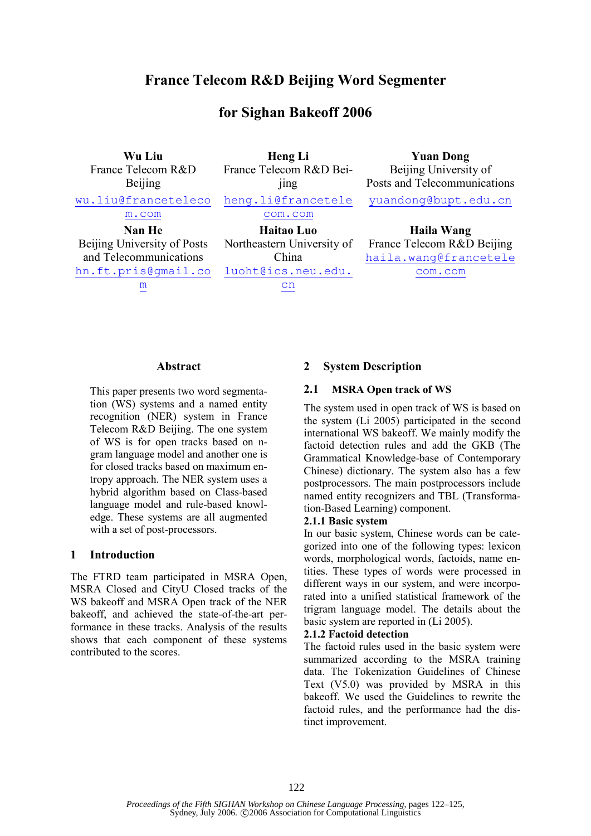# France Telecom R&D Beijing Word Segmenter

# for Sighan Bakeoff 2006

Wu Liu France Telecom R&D Beijing wu.liu@franceteleco m.com Heng Li France Telecom R&D Beijing heng.li@francetele com.com Yuan Dong Beijing University of Posts and Telecommunications yuandong@bupt.edu.cn Nan He Beijing University of Posts and Telecommunications hn.ft.pris@gmail.co m Haitao Luo Northeastern University of China luoht@ics.neu.edu. cn Haila Wang France Telecom R&D Beijing haila.wang@francetele com.com

#### Abstract

This paper presents two word segmentation (WS) systems and a named entity recognition (NER) system in France Telecom R&D Beijing. The one system of WS is for open tracks based on ngram language model and another one is for closed tracks based on maximum entropy approach. The NER system uses a hybrid algorithm based on Class-based language model and rule-based knowledge. These systems are all augmented with a set of post-processors.

### 1 Introduction

The FTRD team participated in MSRA Open, MSRA Closed and CityU Closed tracks of the WS bakeoff and MSRA Open track of the NER bakeoff, and achieved the state-of-the-art performance in these tracks. Analysis of the results shows that each component of these systems contributed to the scores.

### 2 System Description

#### 2.1 MSRA Open track of WS

The system used in open track of WS is based on the system (Li 2005) participated in the second international WS bakeoff. We mainly modify the factoid detection rules and add the GKB (The Grammatical Knowledge-base of Contemporary Chinese) dictionary. The system also has a few postprocessors. The main postprocessors include named entity recognizers and TBL (Transformation-Based Learning) component.

#### 2.1.1 Basic system

In our basic system, Chinese words can be categorized into one of the following types: lexicon words, morphological words, factoids, name entities. These types of words were processed in different ways in our system, and were incorporated into a unified statistical framework of the trigram language model. The details about the basic system are reported in (Li 2005).

#### 2.1.2 Factoid detection

The factoid rules used in the basic system were summarized according to the MSRA training data. The Tokenization Guidelines of Chinese Text (V5.0) was provided by MSRA in this bakeoff. We used the Guidelines to rewrite the factoid rules, and the performance had the distinct improvement.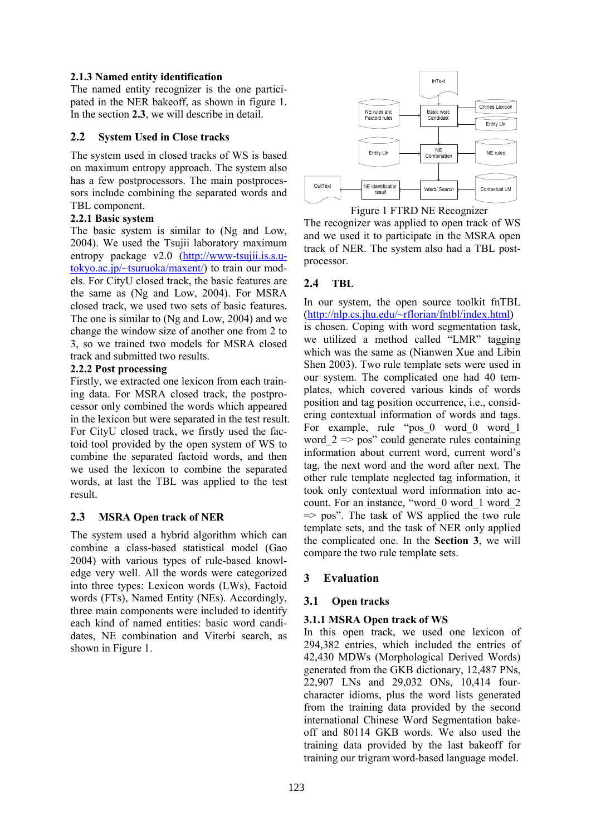### 2.1.3 Named entity identification

The named entity recognizer is the one participated in the NER bakeoff, as shown in figure 1. In the section 2.3, we will describe in detail.

### 2.2 System Used in Close tracks

The system used in closed tracks of WS is based on maximum entropy approach. The system also has a few postprocessors. The main postprocessors include combining the separated words and TBL component.

### 2.2.1 Basic system

The basic system is similar to (Ng and Low, 2004). We used the Tsujii laboratory maximum entropy package v2.0 (http://www-tsujii.is.s.utokyo.ac.jp/~tsuruoka/maxent/) to train our models. For CityU closed track, the basic features are the same as (Ng and Low, 2004). For MSRA closed track, we used two sets of basic features. The one is similar to (Ng and Low, 2004) and we change the window size of another one from 2 to 3, so we trained two models for MSRA closed track and submitted two results.

### 2.2.2 Post processing

Firstly, we extracted one lexicon from each training data. For MSRA closed track, the postprocessor only combined the words which appeared in the lexicon but were separated in the test result. For CityU closed track, we firstly used the factoid tool provided by the open system of WS to combine the separated factoid words, and then we used the lexicon to combine the separated words, at last the TBL was applied to the test result.

## 2.3 MSRA Open track of NER

The system used a hybrid algorithm which can combine a class-based statistical model (Gao 2004) with various types of rule-based knowledge very well. All the words were categorized into three types: Lexicon words (LWs), Factoid words (FTs), Named Entity (NEs). Accordingly, three main components were included to identify each kind of named entities: basic word candidates, NE combination and Viterbi search, as shown in Figure 1.



Figure 1 FTRD NE Recognizer

The recognizer was applied to open track of WS and we used it to participate in the MSRA open track of NER. The system also had a TBL postprocessor.

## 2.4 TBL

In our system, the open source toolkit fnTBL (http://nlp.cs.jhu.edu/~rflorian/fntbl/index.html) is chosen. Coping with word segmentation task, we utilized a method called "LMR" tagging which was the same as (Nianwen Xue and Libin Shen 2003). Two rule template sets were used in our system. The complicated one had 40 templates, which covered various kinds of words position and tag position occurrence, i.e., considering contextual information of words and tags. For example, rule "pos\_0 word\_0 word\_1 word  $2 \Rightarrow$  pos" could generate rules containing information about current word, current word's tag, the next word and the word after next. The other rule template neglected tag information, it took only contextual word information into account. For an instance, "word\_0 word\_1 word\_2  $\Rightarrow$  pos". The task of WS applied the two rule template sets, and the task of NER only applied the complicated one. In the Section 3, we will compare the two rule template sets.

# 3 Evaluation

## 3.1 Open tracks

## 3.1.1 MSRA Open track of WS

In this open track, we used one lexicon of 294,382 entries, which included the entries of 42,430 MDWs (Morphological Derived Words) generated from the GKB dictionary, 12,487 PNs, 22,907 LNs and 29,032 ONs, 10,414 fourcharacter idioms, plus the word lists generated from the training data provided by the second international Chinese Word Segmentation bakeoff and 80114 GKB words. We also used the training data provided by the last bakeoff for training our trigram word-based language model.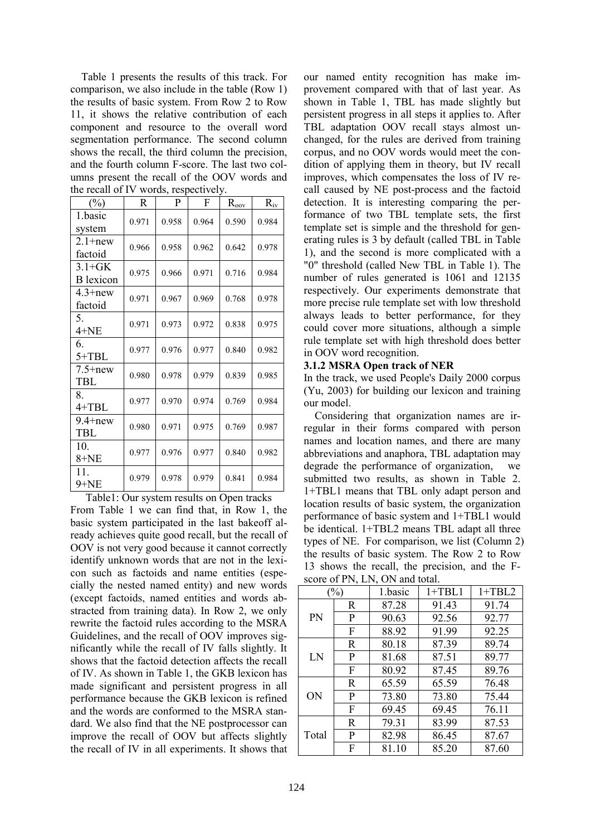Table 1 presents the results of this track. For comparison, we also include in the table (Row 1) the results of basic system. From Row 2 to Row 11, it shows the relative contribution of each component and resource to the overall word segmentation performance. The second column shows the recall, the third column the precision, and the fourth column F-score. The last two columns present the recall of the OOV words and the recall of IV words, respectively.

| $(\%)$                         | R     | P     | F     | $R_{o\underline{ov}}$ | $R_{iv}$ |
|--------------------------------|-------|-------|-------|-----------------------|----------|
| 1.basic<br>system              | 0.971 | 0.958 | 0.964 | 0.590                 | 0.984    |
| $2.1 + new$<br>factoid         | 0.966 | 0.958 | 0.962 | 0.642                 | 0.978    |
| $3.1 + GK$<br><b>B</b> lexicon | 0.975 | 0.966 | 0.971 | 0.716                 | 0.984    |
| $4.3 + new$<br>factoid         | 0.971 | 0.967 | 0.969 | 0.768                 | 0.978    |
| 5.<br>$4 + NE$                 | 0.971 | 0.973 | 0.972 | 0.838                 | 0.975    |
| 6.<br>$5+TBL$                  | 0.977 | 0.976 | 0.977 | 0.840                 | 0.982    |
| $7.5+new$<br><b>TBL</b>        | 0.980 | 0.978 | 0.979 | 0.839                 | 0.985    |
| 8.<br>$4+TBL$                  | 0.977 | 0.970 | 0.974 | 0.769                 | 0.984    |
| $9.4 + new$<br><b>TBL</b>      | 0.980 | 0.971 | 0.975 | 0.769                 | 0.987    |
| 10.<br>$8 + NE$                | 0.977 | 0.976 | 0.977 | 0.840                 | 0.982    |
| 11.<br>$9 + NE$                | 0.979 | 0.978 | 0.979 | 0.841                 | 0.984    |

Table1: Our system results on Open tracks From Table 1 we can find that, in Row 1, the basic system participated in the last bakeoff already achieves quite good recall, but the recall of OOV is not very good because it cannot correctly identify unknown words that are not in the lexicon such as factoids and name entities (especially the nested named entity) and new words (except factoids, named entities and words abstracted from training data). In Row 2, we only rewrite the factoid rules according to the MSRA Guidelines, and the recall of OOV improves significantly while the recall of IV falls slightly. It shows that the factoid detection affects the recall of IV. As shown in Table 1, the GKB lexicon has made significant and persistent progress in all performance because the GKB lexicon is refined and the words are conformed to the MSRA standard. We also find that the NE postprocessor can improve the recall of OOV but affects slightly the recall of IV in all experiments. It shows that our named entity recognition has make improvement compared with that of last year. As shown in Table 1, TBL has made slightly but persistent progress in all steps it applies to. After TBL adaptation OOV recall stays almost unchanged, for the rules are derived from training corpus, and no OOV words would meet the condition of applying them in theory, but IV recall improves, which compensates the loss of IV recall caused by NE post-process and the factoid detection. It is interesting comparing the performance of two TBL template sets, the first template set is simple and the threshold for generating rules is 3 by default (called TBL in Table 1), and the second is more complicated with a "0" threshold (called New TBL in Table 1). The number of rules generated is 1061 and 12135 respectively. Our experiments demonstrate that more precise rule template set with low threshold always leads to better performance, for they could cover more situations, although a simple rule template set with high threshold does better in OOV word recognition.

### 3.1.2 MSRA Open track of NER

In the track, we used People's Daily 2000 corpus (Yu, 2003) for building our lexicon and training our model.

 Considering that organization names are irregular in their forms compared with person names and location names, and there are many abbreviations and anaphora, TBL adaptation may degrade the performance of organization, we submitted two results, as shown in Table 2. 1+TBL1 means that TBL only adapt person and location results of basic system, the organization performance of basic system and 1+TBL1 would be identical. 1+TBL2 means TBL adapt all three types of NE. For comparison, we list (Column 2) the results of basic system. The Row 2 to Row 13 shows the recall, the precision, and the Fscore of PN, LN, ON and total.

| 50000001111, 2111, 0111 |             |         |          |          |  |  |  |
|-------------------------|-------------|---------|----------|----------|--|--|--|
| $\%$                    |             | 1.basic | $1+TBL1$ | $1+TBL2$ |  |  |  |
| PN                      | R           | 87.28   | 91.43    | 91.74    |  |  |  |
|                         | P           | 90.63   | 92.56    | 92.77    |  |  |  |
|                         | F           | 88.92   | 91.99    | 92.25    |  |  |  |
| LN                      | R           | 80.18   | 87.39    | 89.74    |  |  |  |
|                         | P           | 81.68   | 87.51    | 89.77    |  |  |  |
|                         | F           | 80.92   | 87.45    | 89.76    |  |  |  |
| <b>ON</b>               | R           | 65.59   | 65.59    | 76.48    |  |  |  |
|                         | P           | 73.80   | 73.80    | 75.44    |  |  |  |
|                         | F           | 69.45   | 69.45    | 76.11    |  |  |  |
| Total                   | $\mathbf R$ | 79.31   | 83.99    | 87.53    |  |  |  |
|                         | P           | 82.98   | 86.45    | 87.67    |  |  |  |
|                         | F           | 81.10   | 85.20    | 87.60    |  |  |  |